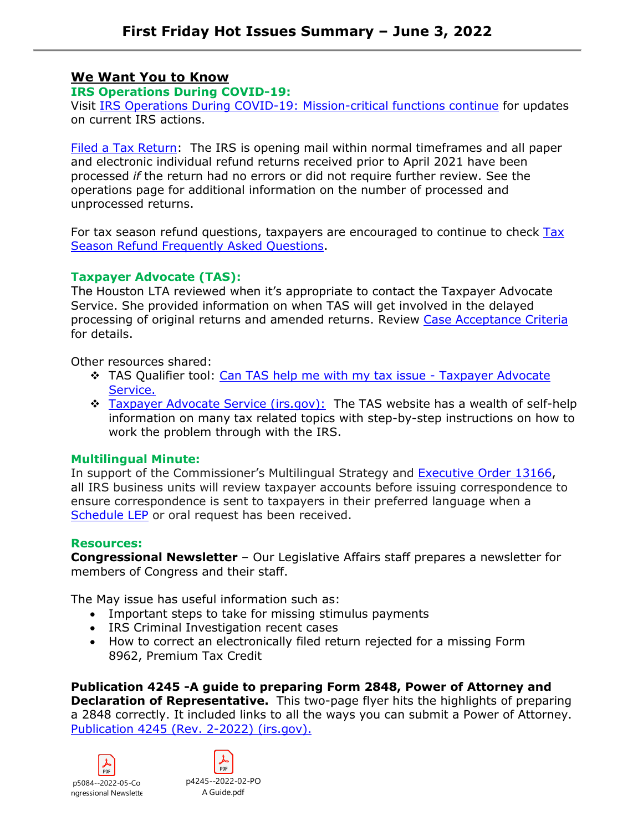# **We Want You to Know**

# **IRS Operations During COVID-19:**

Visit [IRS Operations During COVID-19: Mission-critical functions continue](https://www.irs.gov/newsroom/irs-operations-during-covid-19-mission-critical-functions-continue) for updates on current IRS actions.

[Filed a Tax Return:](https://www.irs.gov/newsroom/irs-operations-during-covid-19-mission-critical-functions-continue#collapseCollapsible1654277197675) The IRS is opening mail within normal timeframes and all paper and electronic individual refund returns received prior to April 2021 have been processed *if* the return had no errors or did not require further review. See the operations page for additional information on the number of processed and unprocessed returns.

For tax season refund questions, taxpayers are encouraged to continue to check [Tax](https://www.irs.gov/refunds/tax-season-refund-frequently-asked-questions)  [Season Refund Frequently Asked Questions.](https://www.irs.gov/refunds/tax-season-refund-frequently-asked-questions)

# **Taxpayer Advocate (TAS):**

The Houston LTA reviewed when it's appropriate to contact the Taxpayer Advocate Service. She provided information on when TAS will get involved in the delayed processing of original returns and amended returns. Review [Case Acceptance Criteria](https://www.taxpayeradvocate.irs.gov/wp-content/uploads/2022/05/CaseAcceptance_052022.pdf)  for details.

Other resources shared:

- TAS Qualifier tool: [Can TAS help me with my tax issue Taxpayer Advocate](https://www.taxpayeradvocate.irs.gov/can-tas-help-me-with-my-tax-issue/)  [Service.](https://www.taxpayeradvocate.irs.gov/can-tas-help-me-with-my-tax-issue/)
- \* [Taxpayer Advocate Service \(irs.gov\):](https://www.taxpayeradvocate.irs.gov/) The TAS website has a wealth of self-help information on many tax related topics with step-by-step instructions on how to work the problem through with the IRS.

# **Multilingual Minute:**

In support of the Commissioner's Multilingual Strategy and [Executive Order 13166,](https://www.justice.gov/crt/executive-order-13166) all IRS business units will review taxpayer accounts before issuing correspondence to ensure correspondence is sent to taxpayers in their preferred language when a [Schedule LEP](https://www.irs.gov/forms-pubs/about-schedule-lep) or oral request has been received.

# **Resources:**

**Congressional Newsletter** – Our Legislative Affairs staff prepares a newsletter for members of Congress and their staff.

The May issue has useful information such as:

- Important steps to take for missing stimulus payments
- IRS Criminal Investigation recent cases
- How to correct an electronically filed return rejected for a missing Form 8962, Premium Tax Credit

**Publication 4245 -A guide to preparing Form 2848, Power of Attorney and Declaration of Representative.** This two-page flyer hits the highlights of preparing a 2848 correctly. It included links to all the ways you can submit a Power of Attorney. [Publication 4245 \(Rev. 2-2022\) \(irs.gov\).](https://www.irs.gov/pub/irs-pdf/p4245.pdf)

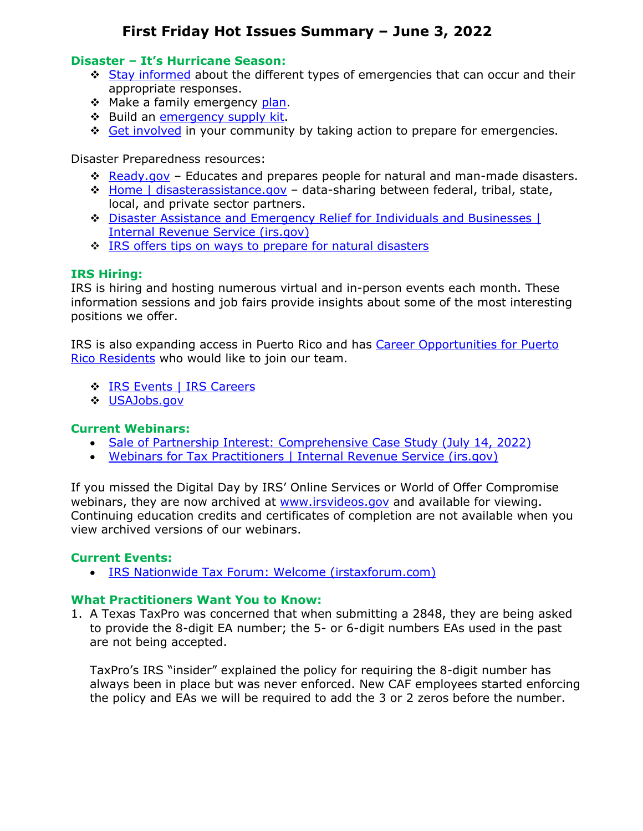### **Disaster – It's Hurricane Season:**

- ❖ [Stay informed](https://www.ready.gov/be-informed) about the different types of emergencies that can occur and their appropriate responses.
- \* Make a family emergency [plan.](http://www.ready.gov/plan)
- ❖ Build an [emergency supply kit.](http://www.ready.gov/kit)
- [Get involved](https://www.ready.gov/get-involved) in your community by taking action to prepare for emergencies.

Disaster Preparedness resources:

- [Ready.gov](https://www.ready.gov/)  Educates and prepares people for natural and man-made disasters.
- [Home | disasterassistance.gov](https://www.disasterassistance.gov/)  data-sharing between federal, tribal, state, local, and private sector partners.
- [Disaster Assistance and Emergency Relief for Individuals and Businesses |](https://www.irs.gov/businesses/small-businesses-self-employed/disaster-assistance-and-emergency-relief-for-individuals-and-businesses)  [Internal Revenue Service \(irs.gov\)](https://www.irs.gov/businesses/small-businesses-self-employed/disaster-assistance-and-emergency-relief-for-individuals-and-businesses)
- $\cdot$  [IRS offers tips on ways to prepare for natural disasters](https://www.irs.gov/newsroom/ahead-of-hurricane-season-irs-offers-tips-on-ways-to-prepare-for-natural-disasters)

# **IRS Hiring:**

IRS is hiring and hosting numerous virtual and in-person events each month. These information sessions and job fairs provide insights about some of the most interesting positions we offer.

IRS is also expanding access in Puerto Rico and has Career Opportunities for Puerto [Rico Residents](https://www.irs.gov/about-irs/a-closer-look-expanding-access-in-puerto-rico) who would like to join our team.

- [IRS Events | IRS Careers](https://www.jobs.irs.gov/find-job/irs-events)
- [USAJobs.gov](https://www.usajobs.gov/)

# **Current Webinars:**

- Sale [of Partnership Interest: Comprehensive Case Study \(July 14, 2022\)](https://www.irs.gov/businesses/small-businesses-self-employed/webinars-for-tax-practitioners#Sale%20of%20Partnership%20Interest:%20Comprehensive%20Case%20Study)
- [Webinars for Tax Practitioners | Internal Revenue Service \(irs.gov\)](https://www.irs.gov/businesses/small-businesses-self-employed/webinars-for-tax-practitioners)

If you missed the Digital Day by IRS' Online Services or World of Offer Compromise webinars, they are now archived at [www.irsvideos.gov](https://www.irsvideos.gov/) and available for viewing. Continuing education credits and certificates of completion are not available when you view archived versions of our webinars.

#### **Current Events:**

• [IRS Nationwide Tax Forum: Welcome \(irstaxforum.com\)](https://www.irstaxforum.com/index)

#### **What Practitioners Want You to Know:**

1. A Texas TaxPro was concerned that when submitting a 2848, they are being asked to provide the 8-digit EA number; the 5- or 6-digit numbers EAs used in the past are not being accepted.

TaxPro's IRS "insider" explained the policy for requiring the 8-digit number has always been in place but was never enforced. New CAF employees started enforcing the policy and EAs we will be required to add the 3 or 2 zeros before the number.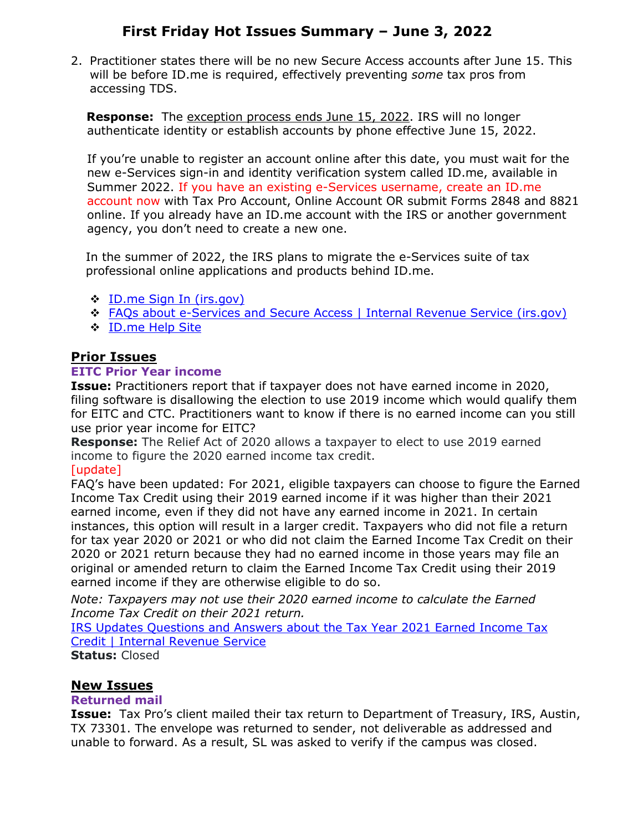2. Practitioner states there will be no new Secure Access accounts after June 15. This will be before ID.me is required, effectively preventing *some* tax pros from accessing TDS.

**Response:** The exception process ends June 15, 2022. IRS will no longer authenticate identity or establish accounts by phone effective June 15, 2022.

 If you're unable to register an account online after this date, you must wait for the new e-Services sign-in and identity verification system called ID.me, available in Summer 2022. If you have an existing e-Services username, create an ID.me account now with Tax Pro Account, Online Account OR submit Forms 2848 and 8821 online. If you already have an ID.me account with the IRS or another government agency, you don't need to create a new one.

 In the summer of 2022, the IRS plans to migrate the e-Services suite of tax professional online applications and products behind ID.me.

- ❖ ID.me Sign In (irs.gov)
- FAQs about e-Services and Secure Access | Internal Revenue Service (irs.gov)
- ID.me Help Site

# **Prior Issues**

#### **EITC Prior Year income**

**Issue:** Practitioners report that if taxpayer does not have earned income in 2020, filing software is disallowing the election to use 2019 income which would qualify them for EITC and CTC. Practitioners want to know if there is no earned income can you still use prior year income for EITC?

**Response:** The Relief Act of 2020 allows a taxpayer to elect to use 2019 earned income to figure the 2020 earned income tax credit.

#### [update]

FAQ's have been updated: For 2021, eligible taxpayers can choose to figure the Earned Income Tax Credit using their 2019 earned income if it was higher than their 2021 earned income, even if they did not have any earned income in 2021. In certain instances, this option will result in a larger credit. Taxpayers who did not file a return for tax year 2020 or 2021 or who did not claim the Earned Income Tax Credit on their 2020 or 2021 return because they had no earned income in those years may file an original or amended return to claim the Earned Income Tax Credit using their 2019 earned income if they are otherwise eligible to do so.

*Note: Taxpayers may not use their 2020 earned income to calculate the Earned Income Tax Credit on their 2021 return.*

IRS Updates Questions and Answers about the Tax Year 2021 Earned Income Tax Credit | Internal Revenue Service

**Status:** Closed

# **New Issues**

# **Returned mail**

**Issue:** Tax Pro's client mailed their tax return to Department of Treasury, IRS, Austin, TX 73301. The envelope was returned to sender, not deliverable as addressed and unable to forward. As a result, SL was asked to verify if the campus was closed.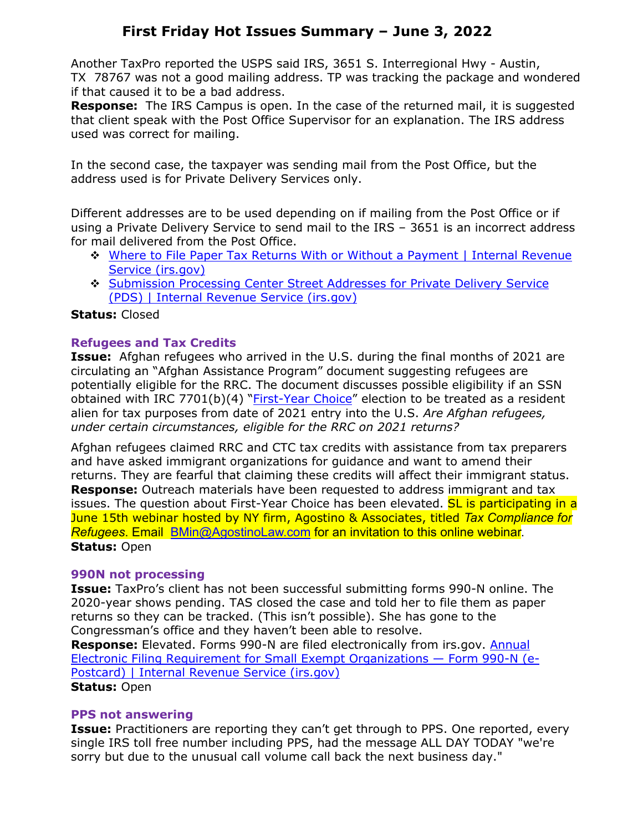Another TaxPro reported the USPS said IRS, 3651 S. Interregional Hwy - Austin, TX 78767 was not a good mailing address. TP was tracking the package and wondered if that caused it to be a bad address.

**Response:** The IRS Campus is open. In the case of the returned mail, it is suggested that client speak with the Post Office Supervisor for an explanation. The IRS address used was correct for mailing.

In the second case, the taxpayer was sending mail from the Post Office, but the address used is for Private Delivery Services only.

Different addresses are to be used depending on if mailing from the Post Office or if using a Private Delivery Service to send mail to the IRS – 3651 is an incorrect address for mail delivered from the Post Office.

- Where to File Paper Tax Returns With or Without a Payment | Internal Revenue Service (irs.gov)
- Submission Processing Center Street Addresses for Private Delivery Service (PDS) | Internal Revenue Service (irs.gov)

# **Status:** Closed

# **Refugees and Tax Credits**

**Issue:** Afghan refugees who arrived in the U.S. during the final months of 2021 are circulating an "Afghan Assistance Program" document suggesting refugees are potentially eligible for the RRC. The document discusses possible eligibility if an SSN obtained with IRC 7701(b)(4) "*First-Year Choice*" election to be treated as a resident alien for tax purposes from date of 2021 entry into the U.S. *Are Afghan refugees, under certain circumstances, eligible for the RRC on 2021 returns?*

Afghan refugees claimed RRC and CTC tax credits with assistance from tax preparers and have asked immigrant organizations for guidance and want to amend their returns. They are fearful that claiming these credits will affect their immigrant status. **Response:** Outreach materials have been requested to address immigrant and tax issues. The question about First-Year Choice has been elevated. **SL is participating in a** June 15th webinar hosted by NY firm, Agostino & Associates, titled *Tax Compliance for Refugees*. Email BMin@AgostinoLaw.com for an invitation to this online webinar. **Status:** Open

# **990N not processing**

**Issue:** TaxPro's client has not been successful submitting forms 990-N online. The 2020-year shows pending. TAS closed the case and told her to file them as paper returns so they can be tracked. (This isn't possible). She has gone to the Congressman's office and they haven't been able to resolve.

**Response:** Elevated. Forms 990-N are filed electronically from irs.gov. Annual Electronic Filing Requirement for Small Exempt Organizations — Form 990-N (e-Postcard) | Internal Revenue Service (irs.gov) **Status:** Open

# **PPS not answering**

**Issue:** Practitioners are reporting they can't get through to PPS. One reported, every single IRS toll free number including PPS, had the message ALL DAY TODAY "we're sorry but due to the unusual call volume call back the next business day."